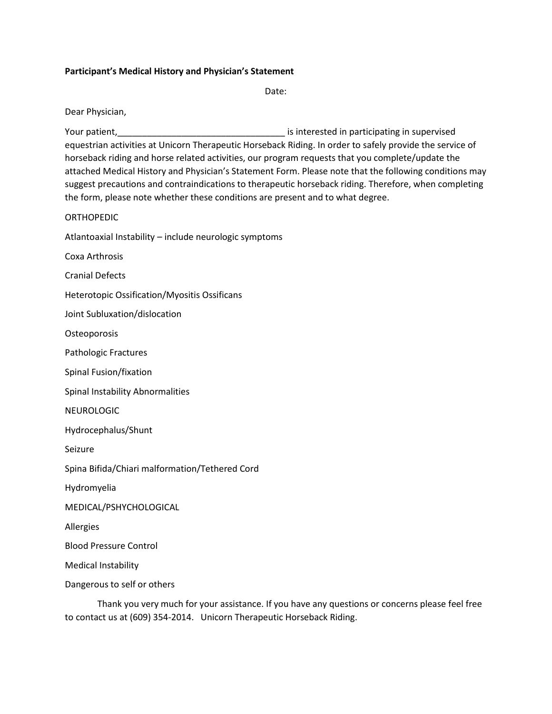## **Participant's Medical History and Physician's Statement**

Date:

Dear Physician,

Your patient, The Court of the Court of the Court of the Court of the Court of the Court of the Court of the Co equestrian activities at Unicorn Therapeutic Horseback Riding. In order to safely provide the service of horseback riding and horse related activities, our program requests that you complete/update the attached Medical History and Physician's Statement Form. Please note that the following conditions may suggest precautions and contraindications to therapeutic horseback riding. Therefore, when completing the form, please note whether these conditions are present and to what degree.

## **ORTHOPEDIC**

Atlantoaxial Instability – include neurologic symptoms

Coxa Arthrosis

Cranial Defects

Heterotopic Ossification/Myositis Ossificans

Joint Subluxation/dislocation

**Osteoporosis** 

Pathologic Fractures

Spinal Fusion/fixation

Spinal Instability Abnormalities

NEUROLOGIC

Hydrocephalus/Shunt

Seizure

Spina Bifida/Chiari malformation/Tethered Cord

Hydromyelia

MEDICAL/PSHYCHOLOGICAL

Allergies

Blood Pressure Control

Medical Instability

Dangerous to self or others

Thank you very much for your assistance. If you have any questions or concerns please feel free to contact us at (609) 354-2014. Unicorn Therapeutic Horseback Riding.